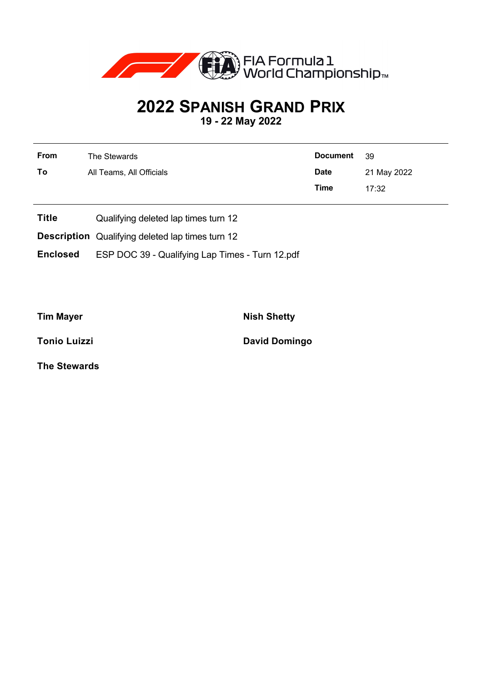

## **2022 SPANISH GRAND PRIX**

**19 - 22 May 2022**

| <b>From</b> | The Stewards             | Document 39 |             |
|-------------|--------------------------|-------------|-------------|
| To          | All Teams, All Officials | <b>Date</b> | 21 May 2022 |
|             |                          | Time        | 17:32       |

- **Title** Qualifying deleted lap times turn 12
- **Description** Qualifying deleted lap times turn 12
- **Enclosed** ESP DOC 39 Qualifying Lap Times Turn 12.pdf

**Tim Mayer Nish Shetty** 

**Tonio Luizzi David Domingo** 

**The Stewards**